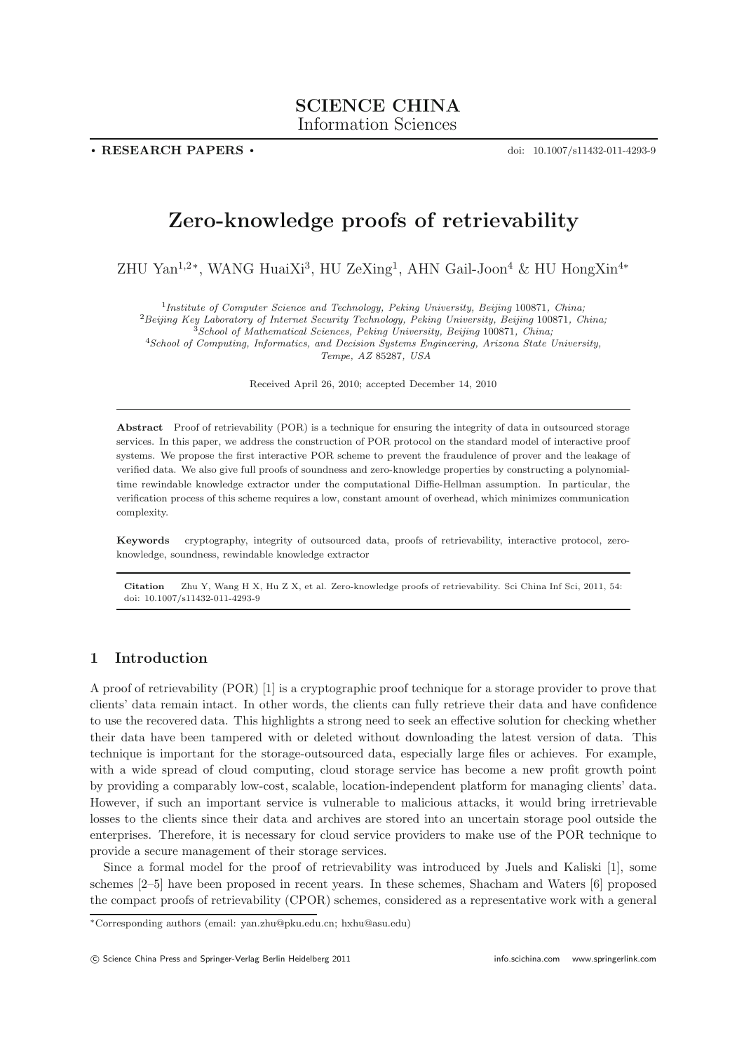**. RESEARCH PAPERS .**

doi: 10.1007/s11432-011-4293-9

# **Zero-knowledge proofs of retrievability**

ZHU Yan<sup>1,2∗</sup>, WANG HuaiXi<sup>3</sup>, HU ZeXing<sup>1</sup>, AHN Gail-Joon<sup>4</sup> & HU HongXin<sup>4∗</sup>

<sup>1</sup>*Institute of Computer Science and Technology, Peking University, Beijing* 100871*, China;*

<sup>2</sup>*Beijing Key Laboratory of Internet Security Technology, Peking University, Beijing* 100871*, China;*

<sup>3</sup>*School of Mathematical Sciences, Peking University, Beijing* 100871*, China;*

<sup>4</sup>*School of Computing, Informatics, and Decision Systems Engineering, Arizona State University,*

*Tempe, AZ* 85287*, USA*

Received April 26, 2010; accepted December 14, 2010

**Abstract** Proof of retrievability (POR) is a technique for ensuring the integrity of data in outsourced storage services. In this paper, we address the construction of POR protocol on the standard model of interactive proof systems. We propose the first interactive POR scheme to prevent the fraudulence of prover and the leakage of verified data. We also give full proofs of soundness and zero-knowledge properties by constructing a polynomialtime rewindable knowledge extractor under the computational Diffie-Hellman assumption. In particular, the verification process of this scheme requires a low, constant amount of overhead, which minimizes communication complexity.

**Keywords** cryptography, integrity of outsourced data, proofs of retrievability, interactive protocol, zeroknowledge, soundness, rewindable knowledge extractor

**Citation** Zhu Y, Wang H X, Hu Z X, et al. Zero-knowledge proofs of retrievability. Sci China Inf Sci, 2011, 54: doi: 10.1007/s11432-011-4293-9

### **1 Introduction**

A proof of retrievability (POR) [1] is a cryptographic proof technique for a storage provider to prove that clients' data remain intact. In other words, the clients can fully retrieve their data and have confidence to use the recovered data. This highlights a strong need to seek an effective solution for checking whether their data have been tampered with or deleted without downloading the latest version of data. This technique is important for the storage-outsourced data, especially large files or achieves. For example, with a wide spread of cloud computing, cloud storage service has become a new profit growth point by providing a comparably low-cost, scalable, location-independent platform for managing clients' data. However, if such an important service is vulnerable to malicious attacks, it would bring irretrievable losses to the clients since their data and archives are stored into an uncertain storage pool outside the enterprises. Therefore, it is necessary for cloud service providers to make use of the POR technique to provide a secure management of their storage services.

Since a formal model for the proof of retrievability was introduced by Juels and Kaliski [1], some schemes [2–5] have been proposed in recent years. In these schemes, Shacham and Waters [6] proposed the compact proofs of retrievability (CPOR) schemes, considered as a representative work with a general

<sup>∗</sup>Corresponding authors (email: yan.zhu@pku.edu.cn; hxhu@asu.edu)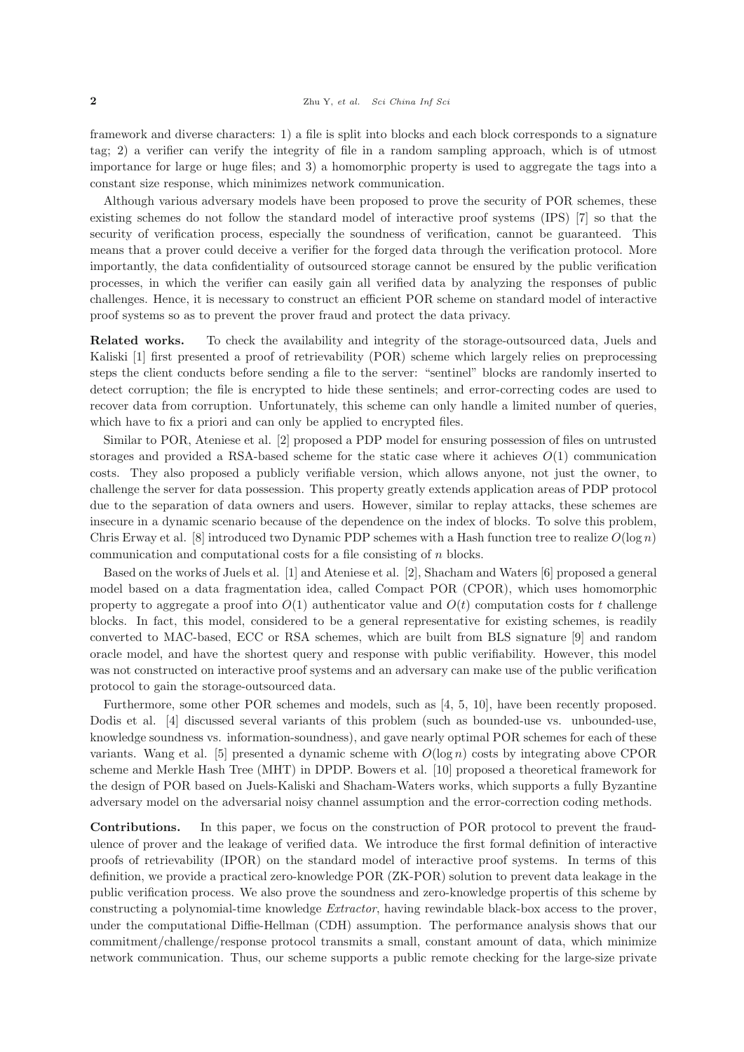framework and diverse characters: 1) a file is split into blocks and each block corresponds to a signature tag; 2) a verifier can verify the integrity of file in a random sampling approach, which is of utmost importance for large or huge files; and 3) a homomorphic property is used to aggregate the tags into a constant size response, which minimizes network communication.

Although various adversary models have been proposed to prove the security of POR schemes, these existing schemes do not follow the standard model of interactive proof systems (IPS) [7] so that the security of verification process, especially the soundness of verification, cannot be guaranteed. This means that a prover could deceive a verifier for the forged data through the verification protocol. More importantly, the data confidentiality of outsourced storage cannot be ensured by the public verification processes, in which the verifier can easily gain all verified data by analyzing the responses of public challenges. Hence, it is necessary to construct an efficient POR scheme on standard model of interactive proof systems so as to prevent the prover fraud and protect the data privacy.

**Related works.** To check the availability and integrity of the storage-outsourced data, Juels and Kaliski [1] first presented a proof of retrievability (POR) scheme which largely relies on preprocessing steps the client conducts before sending a file to the server: "sentinel" blocks are randomly inserted to detect corruption; the file is encrypted to hide these sentinels; and error-correcting codes are used to recover data from corruption. Unfortunately, this scheme can only handle a limited number of queries, which have to fix a priori and can only be applied to encrypted files.

Similar to POR, Ateniese et al. [2] proposed a PDP model for ensuring possession of files on untrusted storages and provided a RSA-based scheme for the static case where it achieves  $O(1)$  communication costs. They also proposed a publicly verifiable version, which allows anyone, not just the owner, to challenge the server for data possession. This property greatly extends application areas of PDP protocol due to the separation of data owners and users. However, similar to replay attacks, these schemes are insecure in a dynamic scenario because of the dependence on the index of blocks. To solve this problem, Chris Erway et al. [8] introduced two Dynamic PDP schemes with a Hash function tree to realize  $O(\log n)$ communication and computational costs for a file consisting of n blocks.

Based on the works of Juels et al. [1] and Ateniese et al. [2], Shacham and Waters [6] proposed a general model based on a data fragmentation idea, called Compact POR (CPOR), which uses homomorphic property to aggregate a proof into  $O(1)$  authenticator value and  $O(t)$  computation costs for t challenge blocks. In fact, this model, considered to be a general representative for existing schemes, is readily converted to MAC-based, ECC or RSA schemes, which are built from BLS signature [9] and random oracle model, and have the shortest query and response with public verifiability. However, this model was not constructed on interactive proof systems and an adversary can make use of the public verification protocol to gain the storage-outsourced data.

Furthermore, some other POR schemes and models, such as [4, 5, 10], have been recently proposed. Dodis et al. [4] discussed several variants of this problem (such as bounded-use vs. unbounded-use, knowledge soundness vs. information-soundness), and gave nearly optimal POR schemes for each of these variants. Wang et al. [5] presented a dynamic scheme with  $O(\log n)$  costs by integrating above CPOR scheme and Merkle Hash Tree (MHT) in DPDP. Bowers et al. [10] proposed a theoretical framework for the design of POR based on Juels-Kaliski and Shacham-Waters works, which supports a fully Byzantine adversary model on the adversarial noisy channel assumption and the error-correction coding methods.

**Contributions.** In this paper, we focus on the construction of POR protocol to prevent the fraudulence of prover and the leakage of verified data. We introduce the first formal definition of interactive proofs of retrievability (IPOR) on the standard model of interactive proof systems. In terms of this definition, we provide a practical zero-knowledge POR (ZK-POR) solution to prevent data leakage in the public verification process. We also prove the soundness and zero-knowledge propertis of this scheme by constructing a polynomial-time knowledge *Extractor*, having rewindable black-box access to the prover, under the computational Diffie-Hellman (CDH) assumption. The performance analysis shows that our commitment/challenge/response protocol transmits a small, constant amount of data, which minimize network communication. Thus, our scheme supports a public remote checking for the large-size private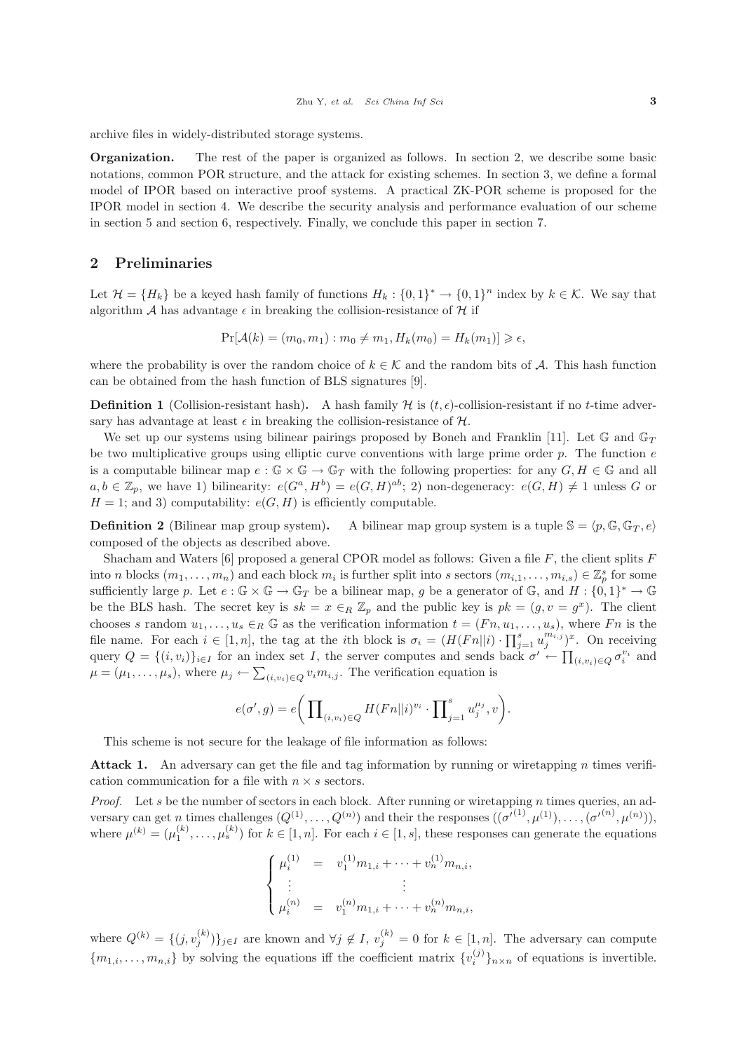archive files in widely-distributed storage systems.

**Organization.** The rest of the paper is organized as follows. In section 2, we describe some basic notations, common POR structure, and the attack for existing schemes. In section 3, we define a formal model of IPOR based on interactive proof systems. A practical ZK-POR scheme is proposed for the IPOR model in section 4. We describe the security analysis and performance evaluation of our scheme in section 5 and section 6, respectively. Finally, we conclude this paper in section 7.

#### **2 Preliminaries**

Let  $\mathcal{H} = \{H_k\}$  be a keyed hash family of functions  $H_k: \{0,1\}^* \to \{0,1\}^n$  index by  $k \in \mathcal{K}$ . We say that algorithm  $A$  has advantage  $\epsilon$  in breaking the collision-resistance of  $H$  if

$$
Pr[\mathcal{A}(k) = (m_0, m_1) : m_0 \neq m_1, H_k(m_0) = H_k(m_1)] \geq \epsilon,
$$

where the probability is over the random choice of  $k \in \mathcal{K}$  and the random bits of A. This hash function can be obtained from the hash function of BLS signatures [9].

**Definition 1** (Collision-resistant hash). A hash family  $H$  is  $(t, \epsilon)$ -collision-resistant if no t-time adver-<br>say that advertises at least  $\epsilon$  in broaking the sollision resistance of  $H$ sary has advantage at least  $\epsilon$  in breaking the collision-resistance of  $\mathcal{H}$ .<br>We get up our gystems using bilinear pairings proposed by Boneh.

We set up our systems using bilinear pairings proposed by Boneh and Franklin [11]. Let  $\mathbb{G}$  and  $\mathbb{G}_T$ be two multiplicative groups using elliptic curve conventions with large prime order  $p$ . The function  $e$ is a computable bilinear map  $e : \mathbb{G} \times \mathbb{G} \to \mathbb{G}_T$  with the following properties: for any  $G, H \in \mathbb{G}$  and all  $a, b \in \mathbb{Z}_p$ , we have 1) bilinearity:  $e(G^a, H^b) = e(G, H)^{ab}$ ; 2) non-degeneracy:  $e(G, H) \neq 1$  unless G or  $H = 1$ ; and 3) computability:  $e(G, H)$  is efficiently computable.

**Definition 2** (Bilinear map group system). A bilinear map group system is a tuple  $\mathbb{S} = \langle p, \mathbb{G}, \mathbb{G}_T, e \rangle$ composed of the objects as described above.

Shacham and Waters  $[6]$  proposed a general CPOR model as follows: Given a file F, the client splits  $F$ into n blocks  $(m_1, \ldots, m_n)$  and each block  $m_i$  is further split into s sectors  $(m_{i,1}, \ldots, m_{i,s}) \in \mathbb{Z}_p^s$  for some explicit into  $\mathbb{Z}_p^s$  for some explicit into  $\mathbb{Z}_p^s$ . sufficiently large p. Let  $e : \mathbb{G} \times \mathbb{G} \to \mathbb{G}_T$  be a bilinear map, g be a generator of  $\mathbb{G}$ , and  $H : \{0,1\}^* \to \mathbb{G}$ be the BLS hash. The secret key is  $sk = x \in_R \mathbb{Z}_p$  and the public key is  $pk = (g, v = g^x)$ . The client chooses s random  $u_1, \ldots, u_s \in_R \mathbb{G}$  as the verification information  $t = (Fn, u_1, \ldots, u_s)$ , where Fn is the file name. For each  $i \in [1, n]$ , the tag at the *i*<sup>th</sup> block is  $\sigma_i = (H(Fn||i) \cdot \prod_{j=1}^s u_j^{m_{i,j}})^x$ . On receiving query  $Q = \{(i, v_i)\}_{i \in I}$  for an index set I, the server computes and sends back  $\sigma' \leftarrow \prod_{(i, v_i) \in Q} \sigma_i^{v_i}$  and  $\mu = (\mu_1, \dots, \mu_s)$ , where  $\mu_j \leftarrow \sum_{(i,v_i)\in Q} v_i m_{i,j}$ . The verification equation is

$$
e(\sigma', g) = e\bigg(\prod_{(i,v_i)\in Q} H(Fn||i)^{v_i} \cdot \prod_{j=1}^s u_j^{\mu_j}, v\bigg).
$$

This scheme is not secure for the leakage of file information as follows:

Attack 1. An adversary can get the file and tag information by running or wiretapping n times verification communication for a file with  $n \times s$  sectors.

*Proof.* Let s be the number of sectors in each block. After running or wiretapping n times queries, an adversary can get n times challenges  $(Q^{(1)}, \ldots, Q^{(n)})$  and their the responses  $((\sigma'^{(1)}, \mu^{(1)}), \ldots, (\sigma'^{(n)}, \mu^{(n)})))$ ,<br>where  $\mu^{(k)} = (\mu^{(k)} \cdot \mu^{(k)})$  for  $h \in [1, n]$ . For each  $i \in [1, n]$  these responses are generate the equations where  $\mu^{(k)} = (\mu_1^{(k)}, \dots, \mu_s^{(k)})$  for  $k \in [1, n]$ . For each  $i \in [1, s]$ , these responses can generate the equations

$$
\begin{cases}\n\mu_i^{(1)} = v_1^{(1)} m_{1,i} + \dots + v_n^{(1)} m_{n,i}, \\
\vdots & \vdots \\
\mu_i^{(n)} = v_1^{(n)} m_{1,i} + \dots + v_n^{(n)} m_{n,i},\n\end{cases}
$$

where  $Q^{(k)} = \{(j, v_j^{(k)})\}_{j \in I}$  are known and  $\forall j \notin I$ ,  $v_j^{(k)} = 0$  for  $k \in [1, n]$ . The adversary can compute  ${m_{1,i},...,m_{n,i}}$  by solving the equations iff the coefficient matrix  ${v_i^{(j)}}_{n \times n}$  of equations is invertible.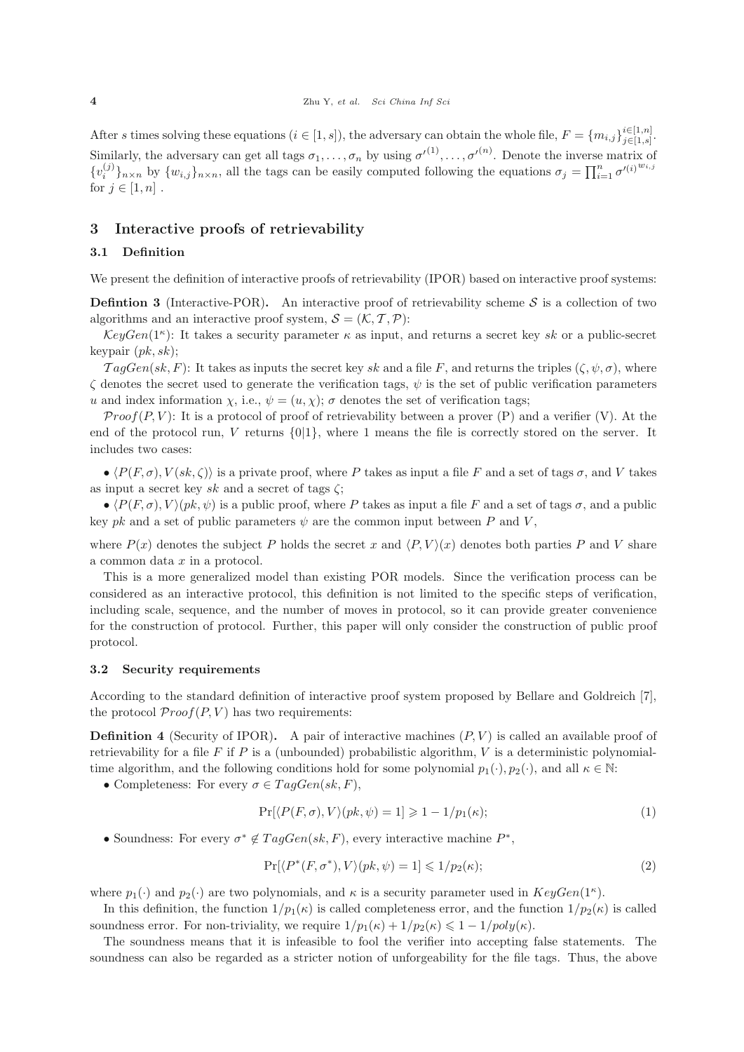After s times solving these equations  $(i \in [1, s])$ , the adversary can obtain the whole file,  $F = \{m_{i,j}\}_{j \in [1, s]}^{i \in [1, n]}$  $\sum_{j\in[1,s]}^{i\in[1,n]}$ Similarly, the adversary can get all tags  $\sigma_1, \ldots, \sigma_n$  by using  $\sigma'^{(1)}, \ldots, \sigma'^{(n)}$ . Denote the inverse matrix of  $\sigma^{(j)}$ ,  $\sigma^{(j)}$  $\{v_i^{(j)}\}_{n\times n}$  by  $\{w_{i,j}\}_{n\times n}$ , all the tags can be easily computed following the equations  $\sigma_j = \prod_{i=1}^n \sigma'^{(i)}^{w_{i,j}}$ for  $j \in [1, n]$ .

#### **3 Interactive proofs of retrievability**

# **3.1 Definition**

We present the definition of interactive proofs of retrievability (IPOR) based on interactive proof systems:

**Defintion 3** (Interactive-POR). An interactive proof of retrievability scheme  $S$  is a collection of two algorithms and an interactive proof system,  $S = (\mathcal{K}, \mathcal{T}, \mathcal{P})$ :

 $KeyGen(1^{\kappa})$ : It takes a security parameter  $\kappa$  as input, and returns a secret key sk or a public-secret keypair  $(pk, sk)$ ;

 $TagGen(sk, F)$ : It takes as inputs the secret key sk and a file F, and returns the triples  $(\zeta, \psi, \sigma)$ , where  $\zeta$  denotes the secret used to generate the verification tags,  $\psi$  is the set of public verification parameters u and index information  $\chi$ , i.e.,  $\psi = (u, \chi)$ ;  $\sigma$  denotes the set of verification tags;

 $Proof(P, V)$ : It is a protocol of proof of retrievability between a prover  $(P)$  and a verifier (V). At the end of the protocol run, V returns  $\{0|1\}$ , where 1 means the file is correctly stored on the server. It includes two cases:

 $\bullet$   $\langle P(F,\sigma), V(sk,\zeta) \rangle$  is a private proof, where P takes as input a file F and a set of tags  $\sigma$ , and V takes as input a secret key sk and a secret of tags  $\zeta$ ;

 $\bullet$   $\langle P(F,\sigma), V \rangle (pk, \psi)$  is a public proof, where P takes as input a file F and a set of tags  $\sigma$ , and a public key pk and a set of public parameters  $\psi$  are the common input between P and V,

where  $P(x)$  denotes the subject P holds the secret x and  $\langle P, V \rangle(x)$  denotes both parties P and V share a common data x in a protocol.

This is a more generalized model than existing POR models. Since the verification process can be considered as an interactive protocol, this definition is not limited to the specific steps of verification, including scale, sequence, and the number of moves in protocol, so it can provide greater convenience for the construction of protocol. Further, this paper will only consider the construction of public proof protocol.

#### **3.2 Security requirements**

According to the standard definition of interactive proof system proposed by Bellare and Goldreich [7], the protocol  $Proof(P, V)$  has two requirements:

**Definition 4** (Security of IPOR). A pair of interactive machines  $(P, V)$  is called an available proof of retrievability for a file  $F$  if  $P$  is a (unbounded) probabilistic algorithm,  $V$  is a deterministic polynomialtime algorithm, and the following conditions hold for some polynomial  $p_1(\cdot), p_2(\cdot)$ , and all  $\kappa \in \mathbb{N}$ :

• Completeness: For every  $\sigma \in TagGen(sk, F)$ ,

$$
\Pr[\langle P(F,\sigma), V \rangle (pk,\psi) = 1] \geq 1 - 1/p_1(\kappa); \tag{1}
$$

• Soundness: For every  $\sigma^* \notin TagGen(sk, F)$ , every interactive machine  $P^*$ ,

$$
\Pr[\langle P^*(F, \sigma^*), V \rangle (pk, \psi) = 1] \leq 1/p_2(\kappa); \tag{2}
$$

where  $p_1(\cdot)$  and  $p_2(\cdot)$  are two polynomials, and  $\kappa$  is a security parameter used in  $KeyGen(1^{\kappa})$ .

In this definition, the function  $1/p_1(\kappa)$  is called completeness error, and the function  $1/p_2(\kappa)$  is called soundness error. For non-triviality, we require  $1/p_1(\kappa)+1/p_2(\kappa) \leq 1-1/poly(\kappa)$ .

The soundness means that it is infeasible to fool the verifier into accepting false statements. The soundness can also be regarded as a stricter notion of unforgeability for the file tags. Thus, the above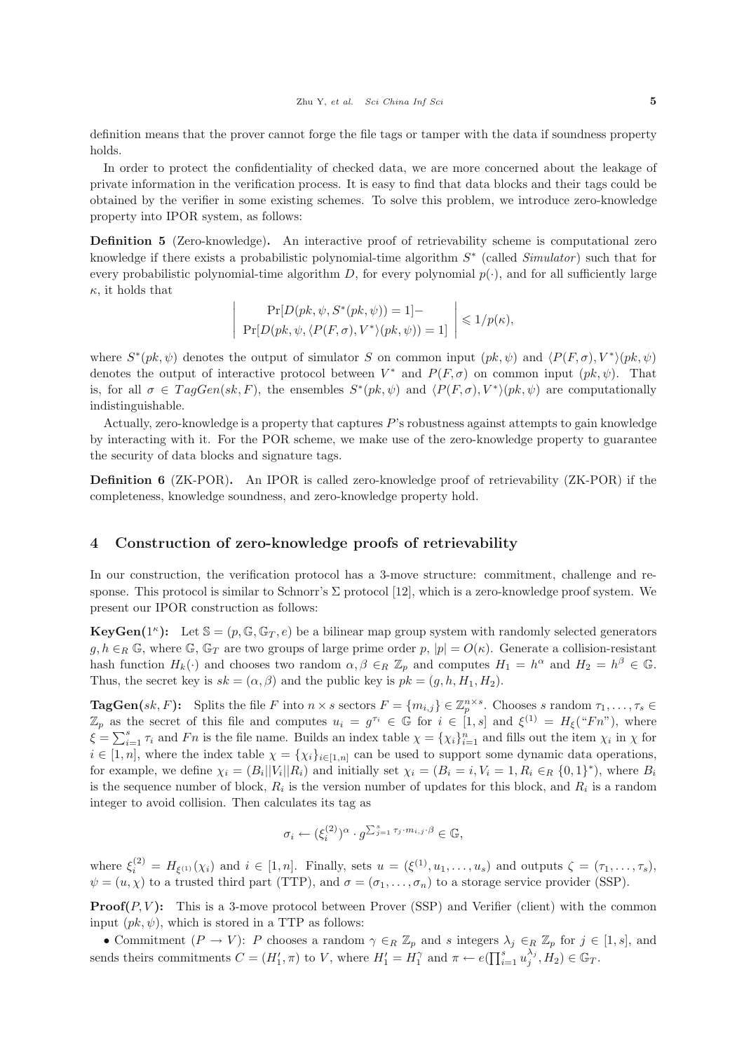definition means that the prover cannot forge the file tags or tamper with the data if soundness property holds.

In order to protect the confidentiality of checked data, we are more concerned about the leakage of private information in the verification process. It is easy to find that data blocks and their tags could be obtained by the verifier in some existing schemes. To solve this problem, we introduce zero-knowledge property into IPOR system, as follows:

**Definition 5** (Zero-knowledge)**.** An interactive proof of retrievability scheme is computational zero knowledge if there exists a probabilistic polynomial-time algorithm <sup>S</sup><sup>∗</sup> (called *Simulator* ) such that for every probabilistic polynomial-time algorithm D, for every polynomial  $p(\cdot)$ , and for all sufficiently large  $\kappa$ , it holds that

$$
\Pr[D(pk, \psi, S^*(pk, \psi)) = 1] - \Pr[D(pk, \psi, \langle P(F, \sigma), V^* \rangle (pk, \psi)) = 1] \le 1/p(\kappa),
$$

where  $S^*(pk, \psi)$  denotes the output of simulator S on common input  $(pk, \psi)$  and  $\langle P(F, \sigma), V^* \rangle (pk, \psi)$ denotes the output of interactive protocol between  $V^*$  and  $P(F,\sigma)$  on common input  $(pk, \psi)$ . That is, for all  $\sigma \in TagGen(sk, F)$ , the ensembles  $S^*(pk, \psi)$  and  $\langle P(F, \sigma), V^*(pk, \psi) \rangle$  are computationally indistinguishable.

Actually, zero-knowledge is a property that captures  $P$ 's robustness against attempts to gain knowledge by interacting with it. For the POR scheme, we make use of the zero-knowledge property to guarantee the security of data blocks and signature tags.

**Definition 6** (ZK-POR)**.** An IPOR is called zero-knowledge proof of retrievability (ZK-POR) if the completeness, knowledge soundness, and zero-knowledge property hold.

#### **4 Construction of zero-knowledge proofs of retrievability**

 $\overline{\phantom{a}}$  $\overline{\phantom{a}}$  $\overline{\phantom{a}}$  $\overline{\phantom{a}}$  $\overline{\phantom{a}}$ 

In our construction, the verification protocol has a 3-move structure: commitment, challenge and response. This protocol is similar to Schnorr's  $\Sigma$  protocol [12], which is a zero-knowledge proof system. We present our IPOR construction as follows:

**KeyGen**( $1^k$ ): Let  $\mathbb{S} = (p, \mathbb{G}, \mathbb{G}_T, e)$  be a bilinear map group system with randomly selected generators  $g, h \in_R \mathbb{G}$ , where  $\mathbb{G}$ ,  $\mathbb{G}_T$  are two groups of large prime order p,  $|p| = O(\kappa)$ . Generate a collision-resistant hash function  $H_k(\cdot)$  and chooses two random  $\alpha, \beta \in_R \mathbb{Z}_p$  and computes  $H_1 = h^{\alpha}$  and  $H_2 = h^{\beta} \in \mathbb{G}$ . Thus, the secret key is  $sk = (\alpha, \beta)$  and the public key is  $pk = (g, h, H_1, H_2)$ .

**TagGen**(sk, F): Splits the file F into  $n \times s$  sectors  $F = \{m_{i,j}\}\in \mathbb{Z}_p^{n\times s}$ . Chooses s random  $\tau_1, \ldots, \tau_s \in$  $\mathbb{Z}_p$  as the secret of this file and computes  $u_i = g^{\tau_i} \in \mathbb{G}$  for  $i \in [1, s]$  and  $\xi^{(1)} = H_{\xi}({}^{\omega}Fn^{\omega})$ , where  $\xi = \sum_{i=1}^{s} \tau_i$  and Fn is the file name. Builds an index table  $\chi = {\chi_i}_{i=1}^n$  and fills out the item  $\chi_i$  in  $\chi$  for  $i \in [1, n]$ , where the index table  $\chi = {\chi_i}_{i \in [1, n]}$  can be used to support some dynamic data operations, for example, we define  $\chi_i = (B_i||V_i||R_i)$  and initially set  $\chi_i = (B_i = i, V_i = 1, R_i \in_R \{0,1\}^*)$ , where  $B_i$ is the sequence number of block,  $R_i$  is the version number of updates for this block, and  $R_i$  is a random integer to avoid collision. Then calculates its tag as

$$
\sigma_i \leftarrow (\xi_i^{(2)})^{\alpha} \cdot g^{\sum_{j=1}^s \tau_j \cdot m_{i,j} \cdot \beta} \in \mathbb{G},
$$

where  $\xi_i^{(2)} = H_{\xi^{(1)}}(\chi_i)$  and  $i \in [1, n]$ . Finally, sets  $u = (\xi^{(1)}, u_1, \ldots, u_s)$  and outputs  $\zeta = (\tau_1, \ldots, \tau_s)$ ,  $\psi = (u, \chi)$  to a trusted third part (TTP), and  $\sigma = (\sigma_1, \dots, \sigma_n)$  to a storage service provider (SSP).

**Proof(** $P, V$ **):** This is a 3-move protocol between Prover (SSP) and Verifier (client) with the common input  $(pk, \psi)$ , which is stored in a TTP as follows:

• Commitment  $(P \to V)$ : P chooses a random  $\gamma \in_R \mathbb{Z}_p$  and s integers  $\lambda_j \in_R \mathbb{Z}_p$  for  $j \in [1, s]$ , and sends theirs commitments  $C = (H'_1, \pi)$  to V, where  $H'_1 = H_1^{\gamma}$  and  $\pi \leftarrow e(\prod_{i=1}^s u_i)$  $\lambda_j^{(1)}$ ,  $H_2$ )  $\in \mathbb{G}_T$ .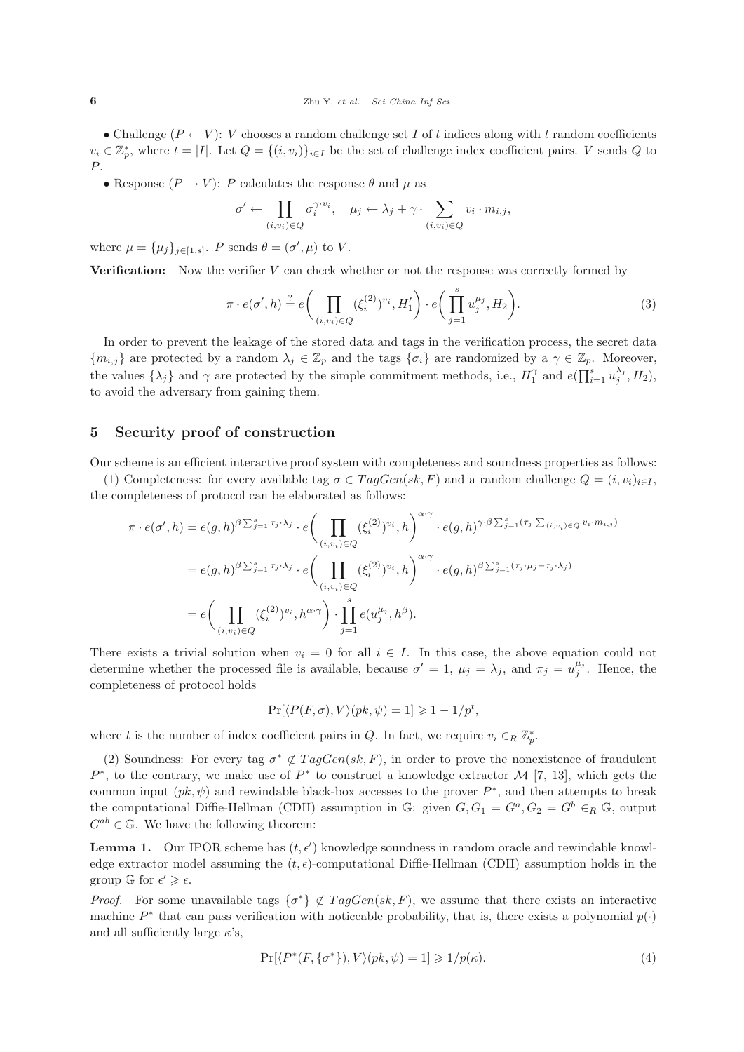• Challenge  $(P \leftarrow V)$ : V chooses a random challenge set I of t indices along with t random coefficients  $v_i \in \mathbb{Z}_p^*$ , where  $t = |I|$ . Let  $Q = \{(i, v_i)\}_{i \in I}$  be the set of challenge index coefficient pairs. V sends Q to P.

• Response  $(P \to V)$ : P calculates the response  $\theta$  and  $\mu$  as

$$
\sigma' \leftarrow \prod_{(i,v_i) \in Q} \sigma_i^{\gamma \cdot v_i}, \quad \mu_j \leftarrow \lambda_j + \gamma \cdot \sum_{(i,v_i) \in Q} v_i \cdot m_{i,j},
$$

where  $\mu = {\mu_j}_{j \in [1, s]}$ . P sends  $\theta = (\sigma', \mu)$  to V.

**Verification:** Now the verifier V can check whether or not the response was correctly formed by

$$
\pi \cdot e(\sigma', h) \stackrel{?}{=} e\bigg(\prod_{(i, v_i) \in Q} (\xi_i^{(2)})^{v_i}, H'_1\bigg) \cdot e\bigg(\prod_{j=1}^s u_j^{\mu_j}, H_2\bigg). \tag{3}
$$

In order to prevent the leakage of the stored data and tags in the verification process, the secret data  ${m_{i,j}}$  are protected by a random  $\lambda_j \in \mathbb{Z}_p$  and the tags  ${\sigma_i}$  are randomized by a  $\gamma \in \mathbb{Z}_p$ . Moreover, the values  $\{\lambda_j\}$  and  $\gamma$  are protected by the simple commitment methods, i.e.,  $H_1^{\gamma}$  and  $e(\prod_{i=1}^s u_i)$  $\lambda_j^{\lambda_j}, H_2),$ to avoid the adversary from gaining them.

# **5 Security proof of construction**

Our scheme is an efficient interactive proof system with completeness and soundness properties as follows:

(1) Completeness: for every available tag  $\sigma \in TagGen(sk, F)$  and a random challenge  $Q = (i, v_i)_{i \in I}$ , the completeness of protocol can be elaborated as follows:

$$
\pi \cdot e(\sigma', h) = e(g, h)^{\beta \sum_{j=1}^{s} \tau_j \cdot \lambda_j} \cdot e\left(\prod_{(i,v_i) \in Q} (\xi_i^{(2)})^{v_i}, h\right)^{\alpha \cdot \gamma} \cdot e(g, h)^{\gamma \cdot \beta \sum_{j=1}^{s} (\tau_j \cdot \sum_{(i,v_i) \in Q} v_i \cdot m_{i,j})}
$$
  
\n
$$
= e(g, h)^{\beta \sum_{j=1}^{s} \tau_j \cdot \lambda_j} \cdot e\left(\prod_{(i,v_i) \in Q} (\xi_i^{(2)})^{v_i}, h\right)^{\alpha \cdot \gamma} \cdot e(g, h)^{\beta \sum_{j=1}^{s} (\tau_j \cdot \mu_j - \tau_j \cdot \lambda_j)}
$$
  
\n
$$
= e\left(\prod_{(i,v_i) \in Q} (\xi_i^{(2)})^{v_i}, h^{\alpha \cdot \gamma}\right) \cdot \prod_{j=1}^{s} e(u_j^{\mu_j}, h^{\beta}).
$$

There exists a trivial solution when  $v_i = 0$  for all  $i \in I$ . In this case, the above equation could not determine whether the processed file is available, because  $\sigma' = 1$ ,  $\mu_j = \lambda_j$ , and  $\pi_j = u_j^{\mu_j}$ . Hence, the completences of protocol holds completeness of protocol holds

$$
\Pr[\langle P(F,\sigma),V\rangle(pk,\psi)=1]\geq 1-1/p^t,
$$

where t is the number of index coefficient pairs in Q. In fact, we require  $v_i \in_R \mathbb{Z}_p^*$ .

(2) Soundness: For every tag  $\sigma^* \notin TagGen(sk, F)$ , in order to prove the nonexistence of fraudulent P<sup>∗</sup>, to the contrary, we make use of P<sup>∗</sup> to construct a knowledge extractor M [7, 13], which gets the common input  $(pk, \psi)$  and rewindable black-box accesses to the prover  $P^*$ , and then attempts to break the computational Diffie-Hellman (CDH) assumption in G: given  $G, G_1 = G^a, G_2 = G^b \in_R \mathbb{G}$ , output  $G^{ab} \in \mathbb{G}$ . We have the following theorem:

**Lemma 1.** Our IPOR scheme has  $(t, \epsilon')$  knowledge soundness in random oracle and rewindable knowledge surfactor model assuming the  $(t, \epsilon)$  computational Difficulture (CDH) essumption holds in the edge extractor model assuming the  $(t, \epsilon)$ -computational Diffie-Hellman (CDH) assumption holds in the group  $\mathbb{G}$  for  $\epsilon' \geq \epsilon$ .

*Proof.* For some unavailable tags  $\{\sigma^*\}\notin TagGen(sk, F)$ , we assume that there exists an interactive mochine  $P^*$  that son page verification with paticooble probability that is there exists a polynomial  $p(x)$ machine  $P^*$  that can pass verification with noticeable probability, that is, there exists a polynomial  $p(\cdot)$ and all sufficiently large  $\kappa$ 's,

$$
\Pr[\langle P^*(F, \{\sigma^*\}), V \rangle (pk, \psi) = 1] \ge 1/p(\kappa). \tag{4}
$$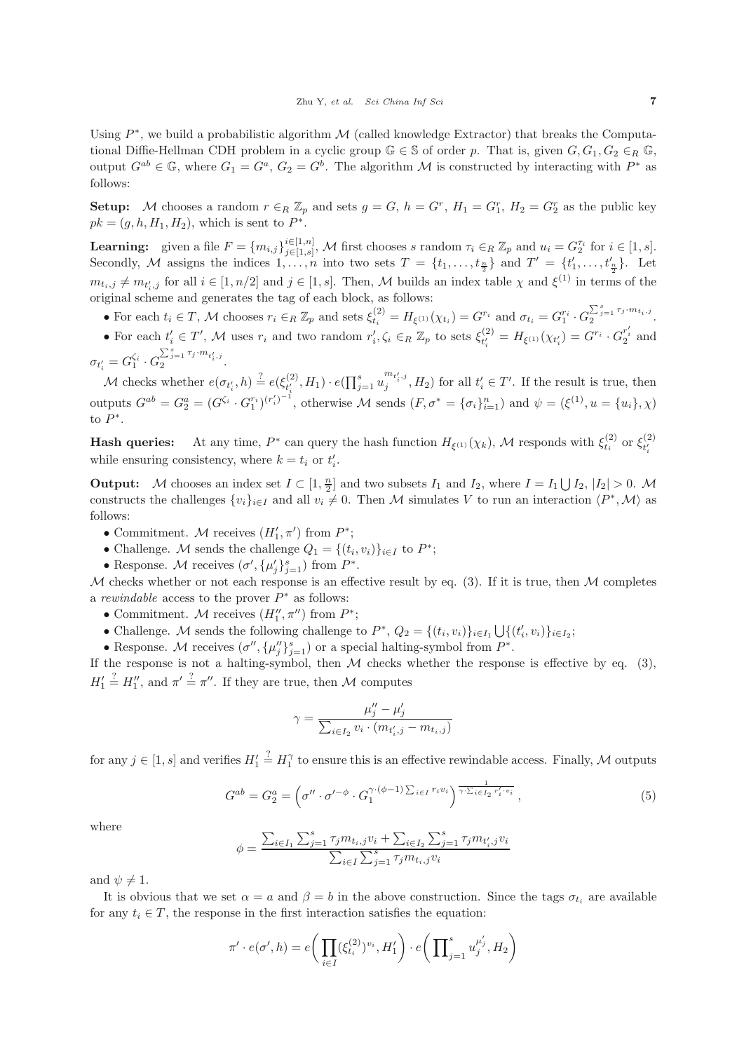Using  $P^*$ , we build a probabilistic algorithm M (called knowledge Extractor) that breaks the Computational Diffie-Hellman CDH problem in a cyclic group  $\mathbb{G} \in \mathbb{S}$  of order p. That is, given  $G, G_1, G_2 \in_R \mathbb{G}$ , output  $G^{ab} \in \mathbb{G}$ , where  $G_1 = G^a$ ,  $G_2 = G^b$ . The algorithm M is constructed by interacting with  $P^*$  as follows:

**Setup:** M chooses a random  $r \in_R \mathbb{Z}_p$  and sets  $g = G$ ,  $h = G^r$ ,  $H_1 = G_1^r$ ,  $H_2 = G_2^r$  as the public key  $pk = (g, h, H<sub>1</sub>, H<sub>2</sub>)$ , which is sent to  $P^*$ .

**Learning:** given a file  $F = \{m_{i,j}\}_{j \in [1,s]}^{i \in [1,n]}$  $\tilde{u} \in [1,n]$ , M first chooses s random  $\tau_i \in_R \mathbb{Z}_p$  and  $u_i = G_2^{\tau_i}$  for  $i \in [1,s]$ .<br>  $\tilde{u} \in [1,s]$ , into two sets  $T = \begin{bmatrix} t & t \end{bmatrix}$  and  $T' = \begin{bmatrix} t' & t' \end{bmatrix}$ . Let Secondly, M assigns the indices  $1, \ldots, n$  into two sets  $T = \{t_1, \ldots, t_{\frac{n}{2}}\}$  and  $T' = \{t'_1, \ldots, t'_{\frac{n}{2}}\}$ . Let  $m_{t_i,j} \neq m_{t'_i,j}$  for all  $i \in [1, n/2]$  and  $j \in [1, s]$ . Then, M builds an index table  $\chi$  and  $\xi^{(1)}$  in terms of the original scheme and generates the teg of seek block, as follows: original scheme and generates the tag of each block, as follows:

- For each  $t_i \in T$ , M chooses  $r_i \in_R \mathbb{Z}_p$  and sets  $\xi_{t_i}^{(2)} = H_{\xi^{(1)}}(\chi_{t_i}) = G^{r_i}$  and  $\sigma_{t_i} = G_1^{r_i} \cdot G_2^{\sum_{j=1}^s \tau_j \cdot m_{t_i,j}}$ .
- For each  $t'_i \in T'$ , M uses  $r_i$  and two random  $r'_i, \zeta_i \in_R \mathbb{Z}_p$  to sets  $\xi_{t'_i}^{(2)}$  $t'_{i} = H_{\xi^{(1)}}(\chi_{t'_{i}}) = G^{r_{i}} \cdot G^{r'_{i}}_{2}$  and  $\sigma_{t_i'} = G_1^{\varsigma_i} \cdot G$  $\zeta_i = G_1^{\zeta_i} \cdot G_2^{\sum_{j=1}^s \tau_j \cdot m_{t'_i,j}}.$

M checks whether  $e(\sigma_{t_i'}, h) \stackrel{?}{=} e(\xi_{t_i'}^{(2)})$  $e^{(2)}_{t'_i}, H_1) \cdot e(\prod_{j=1}^s u_j)$  $\binom{m_{t'_i,j}}{j}$ ,  $H_2$ ) for all  $t'_i \in T'$ . If the result is true, then outputs  $G^{ab} = G_2^a = (G^{\zeta_i} \cdot G_1^{r_i})^{(r'_i)^{-1}}$ , otherwise M sends  $(F, \sigma^* = {\{\sigma_i\}}_{i=1}^n)$  and  $\psi = (\xi^{(1)}, u = {u_i}, \chi)$ to  $P^*$ .

**Hash queries:** At any time,  $P^*$  can query the hash function  $H_{\xi^{(1)}}(\chi_k)$ , M responds with  $\xi_{t_i}^{(2)}$  or  $\xi_{t_i}^{(2)}$  $t_i'$ while ensuring consistency, where  $k = t_i$  or  $t'_i$ .

**Output:** M chooses an index set  $I \subset [1, \frac{n}{2}]$  and two subsets  $I_1$  and  $I_2$ , where  $I = I_1 \cup I_2$ ,  $|I_2| > 0$ . M<br>constructs the shellanges  $\{u\}$  and all  $u \neq 0$ . Then A4 simulates V to vur an interaction  $\{B^*, M\}$  a constructs the challenges  $\{v_i\}_{i\in I}$  and all  $v_i \neq 0$ . Then M simulates V to run an interaction  $\langle P^*,M \rangle$  as follows:

- Commitment. M receives  $(H'_1, \pi')$  from  $P^*$ ;
- Challenge. M sends the challenge  $Q_1 = \{(t_i, v_i)\}_{i \in I}$  to  $P^*$ ;
- Response. M receives  $(\sigma', {\mu'_j}_{j=1}^s)$  from  $P^*$ .

M checks whether or not each response is an effective result by eq.  $(3)$ . If it is true, then M completes <sup>a</sup> *rewindable* access to the prover P<sup>∗</sup> as follows:

- Commitment. M receives  $(H''_1, \pi'')$  from  $P^*$ ;
- Challenge. M sends the following challenge to  $P^*, Q_2 = \{(t_i, v_i)\}_{i \in I_1} \bigcup \{(t'_i, v_i)\}_{i \in I_2};$ <br>
 Because  $M$  requires  $(x'' \cup y'')$  and appoint belting symbol from  $P^*$

• Response. M receives  $(\sigma'', {\{\mu''_j\}}_{j=1}^s)$  or a special halting-symbol from  $P^*$ .<br>the response is not a halting symbol, then *M* sheeks whether the respon-

If the response is not a halting-symbol, then  $M$  checks whether the response is effective by eq. (3),  $H_1'$  $\stackrel{?}{=}$   $H''_1$ , and  $\pi' \stackrel{?}{=} \pi''$ . If they are true, then M computes

$$
\gamma = \frac{\mu_j'' - \mu_j'}{\sum_{i \in I_2} v_i \cdot (m_{t'_i,j} - m_{t_i,j})}
$$

for any  $j \in [1, s]$  and verifies  $H'_1$  $\stackrel{?}{=} H_1^{\gamma}$  to ensure this is an effective rewindable access. Finally, M outputs

$$
G^{ab} = G_2^a = \left(\sigma'' \cdot \sigma'^{-\phi} \cdot G_1^{\gamma \cdot (\phi - 1) \sum_{i \in I} r_i v_i}\right) \overline{\gamma \cdot \sum_{i \in I_2} r'_i v_i} ,\qquad (5)
$$

where

$$
\phi = \frac{\sum_{i \in I_1} \sum_{j=1}^s \tau_j m_{t_i,j} v_i + \sum_{i \in I_2} \sum_{j=1}^s \tau_j m_{t'_i,j} v_i}{\sum_{i \in I} \sum_{j=1}^s \tau_j m_{t_i,j} v_i}
$$

and  $\psi \neq 1$ .

It is obvious that we set  $\alpha = a$  and  $\beta = b$  in the above construction. Since the tags  $\sigma_{t_i}$  are available for any  $t_i \in T$ , the response in the first interaction satisfies the equation:

$$
\pi' \cdot e(\sigma', h) = e\bigg(\prod_{i \in I} (\xi_{t_i}^{(2)})^{v_i}, H'_1\bigg) \cdot e\bigg(\prod_{j=1}^s u_j^{\mu'_j}, H_2\bigg)
$$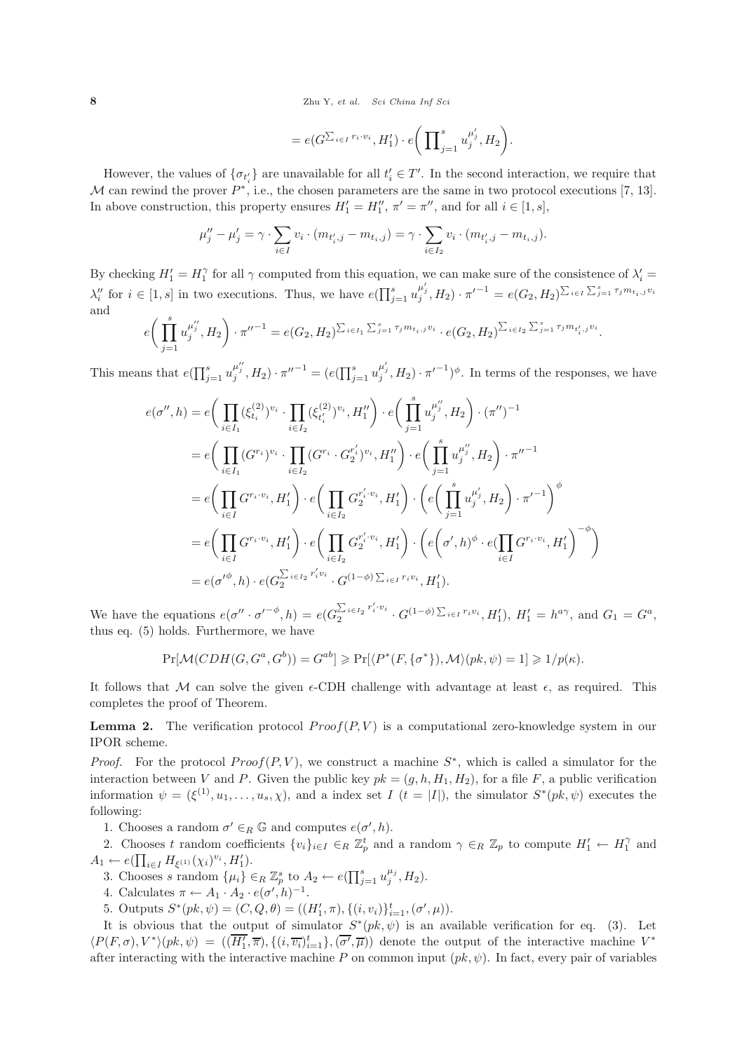**8** Zhu Y, *et al. Sci China Inf Sci*

$$
= e(G^{\sum_{i \in I} r_i \cdot v_i}, H_1') \cdot e\bigg(\prod_{j=1}^s u_j^{\mu'_j}, H_2\bigg).
$$

However, the values of  $\{\sigma_{t'_i}\}$  are unavailable for all  $t'_i \in T'$ . In the second interaction, we require that M can rewind the prover  $P^*$ , i.e., the chosen parameters are the same in two protocol executions [7, 13]. In above construction, this property ensures  $H'_1 = H''_1$ ,  $\pi' = \pi''$ , and for all  $i \in [1, s]$ ,

$$
\mu''_j - \mu'_j = \gamma \cdot \sum_{i \in I} v_i \cdot (m_{t'_i,j} - m_{t_i,j}) = \gamma \cdot \sum_{i \in I_2} v_i \cdot (m_{t'_i,j} - m_{t_i,j}).
$$

By checking  $H'_1 = H_1^{\gamma}$  for all  $\gamma$  computed from this equation, we can make sure of the consistence of  $\lambda'_i =$  $\lambda_i''$  for  $i \in [1, s]$  in two executions. Thus, we have  $e(\prod_{j=1}^s u_j)$  $\mu'_{j}, H_{2}) \cdot \pi'^{-1} = e(G_{2}, H_{2})^{\sum_{i \in I} \sum_{j=1}^{s} \tau_{j} m_{t_{i}, j} v_{i}}$ and

$$
e\bigg(\prod_{j=1}^s u_j^{\mu''_j}, H_2\bigg) \cdot \pi''^{-1} = e(G_2, H_2)^{\sum_{i \in I_1} \sum_{j=1}^s \tau_j m_{t_i, j} v_i} \cdot e(G_2, H_2)^{\sum_{i \in I_2} \sum_{j=1}^s \tau_j m_{t'_i, j} v_i}.
$$

This means that  $e(\prod_{j=1}^s u_j)$  $\mu_j^{\mu_j}, H_2) \cdot {\pi''}^{-1} = (e(\prod_{j=1}^s u_j))$  $\mu'_{j}, H_{2}) \cdot \pi'^{-1}$ , In terms of the responses, we have

$$
e(\sigma'', h) = e\Big(\prod_{i \in I_1} (\xi_{t_i}^{(2)})^{v_i} \cdot \prod_{i \in I_2} (\xi_{t_i'}^{(2)})^{v_i}, H_1''\Big) \cdot e\Big(\prod_{j=1}^s u_j^{\mu''_j}, H_2\Big) \cdot (\pi'')^{-1}
$$
  
\n
$$
= e\Big(\prod_{i \in I_1} (G^{r_i})^{v_i} \cdot \prod_{i \in I_2} (G^{r_i} \cdot G_2^{r'_i})^{v_i}, H_1''\Big) \cdot e\Big(\prod_{j=1}^s u_j^{\mu''_j}, H_2\Big) \cdot \pi''^{-1}
$$
  
\n
$$
= e\Big(\prod_{i \in I} G^{r_i \cdot v_i}, H_1'\Big) \cdot e\Big(\prod_{i \in I_2} G_2^{r'_i \cdot v_i}, H_1'\Big) \cdot \Big(e\Big(\prod_{j=1}^s u_j^{\mu'_j}, H_2\Big) \cdot \pi'^{-1}\Big)^\phi
$$
  
\n
$$
= e\Big(\prod_{i \in I} G^{r_i \cdot v_i}, H_1'\Big) \cdot e\Big(\prod_{i \in I_2} G_2^{r'_i \cdot v_i}, H_1'\Big) \cdot \Big(e\Big(\sigma', h\Big)^\phi \cdot e(\prod_{i \in I} G^{r_i \cdot v_i}, H_1'\Big)^\neg\phi\Big)
$$
  
\n
$$
= e(\sigma'^\phi, h) \cdot e(G_2^{\sum_{i \in I_2} r'_i v_i} \cdot G^{(1-\phi)\sum_{i \in I} r_i v_i}, H_1').
$$

We have the equations  $e(\sigma'' \cdot \sigma'^{-\phi}, h) = e(G_2^{\sum_{i \in I_2} r'_i \cdot v_i} \cdot G^{(1-\phi)\sum_{i \in I} r_i v_i}, H'_1), H'_1 = h^{a\gamma}$ , and  $G_1 = G^a$ , thus so (5) holds. European we have thus eq. (5) holds. Furthermore, we have

$$
\Pr[\mathcal{M}(CDH(G, G^a, G^b)) = G^{ab}] \ge \Pr[\langle P^*(F, \{\sigma^*\}), \mathcal{M}\rangle (pk, \psi) = 1] \ge 1/p(\kappa).
$$

It follows that M can solve the given  $\epsilon$ -CDH challenge with advantage at least  $\epsilon$ , as required. This completes the proof of Theorem.

**Lemma 2.** The verification protocol  $Proof(P, V)$  is a computational zero-knowledge system in our IPOR scheme.

*Proof.* For the protocol  $Proof(P, V)$ , we construct a machine  $S^*$ , which is called a simulator for the interaction between V and P. Given the public key  $pk = (g, h, H_1, H_2)$ , for a file F, a public verification information  $\psi = (\xi^{(1)}, u_1, \ldots, u_s, \chi)$ , and a index set  $I$   $(t = |I|)$ , the simulator  $S^*(pk, \psi)$  executes the following:

1. Chooses a random  $\sigma' \in_R \mathbb{G}$  and computes  $e(\sigma', h)$ .<br>
2. Chooses t random coefficients  $\{u\}_{u \in \mathbb{G}} \subset \mathbb{Z}^t$  and

2. Chooses t random coefficients  $\{v_i\}_{i\in I} \in_R \mathbb{Z}_p^t$  and a random  $\gamma \in_R \mathbb{Z}_p$  to compute  $H'_1 \leftarrow H'_1$  and  $\gamma \in_R \mathbb{Z}_p$  and  $H'_1 \leftarrow H'_1$  and  $A_1 \leftarrow e(\prod_{i \in I} H_{\xi^{(1)}}(\chi_i)^{v_i}, H'_1).$ <br>
2 Chooses a random  $\{\mu_i\}$ 

3. Chooses s random  $\{\mu_i\} \in_R \mathbb{Z}_p^s$  to  $A_2 \leftarrow e(\prod_{j=1}^s u_j^{\mu_j}, H_2)$ .

- 4. Calculates  $\pi \leftarrow A_1 \cdot A_2 \cdot e(\sigma', h)^{-1}$ .<br>5. Outputs  $S^*(gh, \psi) = (C, O, \theta) = ((\sigma, \theta), \psi)$
- 5. Outputs  $S^*(pk, \psi) = (C, Q, \theta) = ((H'_1, \pi), \{(i, v_i)\}_{i=1}^t, (\sigma', \mu))$ .<br>It is obvious that the output of simulator  $S^*(\phi k, \phi)$  is an ave

It is obvious that the output of simulator  $S<sup>*</sup>(pk, \psi)$  is an available verification for eq. (3). Let  $\langle P(F,\sigma),V^*\rangle(pk,\psi) = (\overline{(H_1'},\overline{\pi}),\{(i,\overline{v_i})_{i=1}^t\},\overline{(\sigma'},\overline{\mu})\}$  denote the output of the interactive machine  $V^*$ after interacting with the interactive machine P on common input  $(pk, \psi)$ . In fact, every pair of variables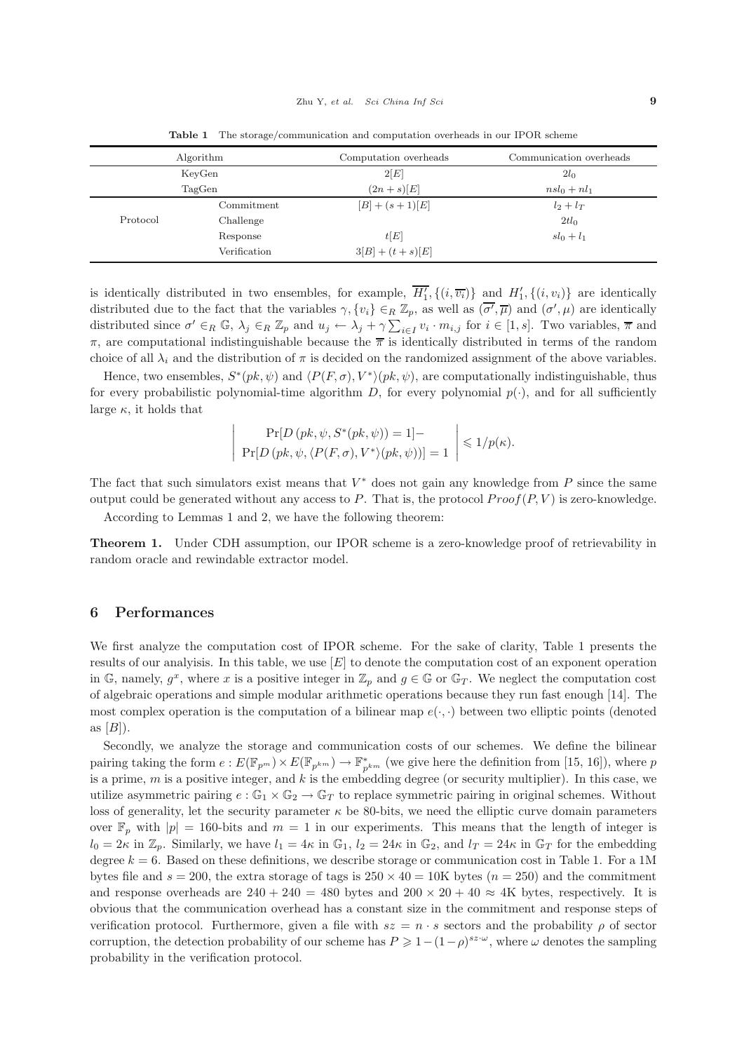| Algorithm |              | Computation overheads | Communication overheads |
|-----------|--------------|-----------------------|-------------------------|
| KeyGen    |              | 2 E                   | 2l <sub>0</sub>         |
| TagGen    |              | $(2n+s)[E]$           | $nsl_0+nl_1$            |
|           | Commitment   | $[B] + (s + 1)[E]$    | $l_2+l_T$               |
| Protocol  | Challenge    |                       | $2tl_0$                 |
|           | Response     | t[E]                  | $sl_0+l_1$              |
|           | Verification | $3[B] + (t + s)[E]$   |                         |

**Table 1** The storage/communication and computation overheads in our IPOR scheme

is identically distributed in two ensembles, for example,  $H'_1$ ,  $\{(i, \overline{v_i})\}$  and  $H'_1$ ,  $\{(i, v_i)\}$  are identically distributed due to the fact that the variables  $\gamma$ ,  $\{v_i\} \in_R \mathbb{Z}_p$ , as well as  $(\overline{\sigma'}, \overline{\mu})$  and  $(\sigma', \mu)$  are identically distributed since  $\sigma' \in_R \mathbb{G}$ ,  $\lambda_j \in_R \mathbb{Z}_p$  and  $u_j \leftarrow \lambda_j + \gamma \sum_{i \in I} v_i \cdot m_{i,j}$  for  $i \in [1, s]$ . Two variables,  $\overline{\pi}$  and  $\tau$ , are computational indictinguishable because the  $\overline{\pi}$  is identically distributed in π, are computational indistinguishable because the <sup>π</sup> is identically distributed in terms of the random choice of all  $\lambda_i$  and the distribution of  $\pi$  is decided on the randomized assignment of the above variables.

Hence, two ensembles,  $S^*(pk, \psi)$  and  $\langle P(F, \sigma), V^* \rangle (pk, \psi)$ , are computationally indistinguishable, thus for every probabilistic polynomial-time algorithm D, for every polynomial  $p(\cdot)$ , and for all sufficiently large  $\kappa$ , it holds that

$$
\left| \begin{array}{c} \Pr[D(pk, \psi, S^*(pk, \psi)) = 1] - \\ \Pr[D(pk, \psi, \langle P(F, \sigma), V^* \rangle (pk, \psi))] = 1 \end{array} \right| \leq 1/p(\kappa).
$$

The fact that such simulators exist means that  $V^*$  does not gain any knowledge from  $P$  since the same output could be generated without any access to P. That is, the protocol  $Proof(P, V)$  is zero-knowledge.

According to Lemmas 1 and 2, we have the following theorem:

**Theorem 1.** Under CDH assumption, our IPOR scheme is a zero-knowledge proof of retrievability in random oracle and rewindable extractor model.

### **6 Performances**

We first analyze the computation cost of IPOR scheme. For the sake of clarity, Table 1 presents the results of our analyisis. In this table, we use  $[E]$  to denote the computation cost of an exponent operation in G, namely,  $g^x$ , where x is a positive integer in  $\mathbb{Z}_p$  and  $g \in \mathbb{G}$  or  $\mathbb{G}_T$ . We neglect the computation cost of algebraic operations and simple modular arithmetic operations because they run fast enough [14]. The most complex operation is the computation of a bilinear map  $e(\cdot, \cdot)$  between two elliptic points (denoted as  $[B]$ ).

Secondly, we analyze the storage and communication costs of our schemes. We define the bilinear pairing taking the form  $e : E(\mathbb{F}_{p^m}) \times E(\mathbb{F}_{p^{km}}) \to \mathbb{F}_{p^{km}}^*$  (we give here the definition from [15, 16]), where p<br>is a prime m is a positive integer, and k is the embodding degree (or security multiplier). In this is a prime,  $m$  is a positive integer, and  $k$  is the embedding degree (or security multiplier). In this case, we utilize asymmetric pairing  $e : \mathbb{G}_1 \times \mathbb{G}_2 \to \mathbb{G}_T$  to replace symmetric pairing in original schemes. Without loss of generality, let the security parameter  $\kappa$  be 80-bits, we need the elliptic curve domain parameters over  $\mathbb{F}_p$  with  $|p|=160$ -bits and  $m=1$  in our experiments. This means that the length of integer is  $l_0 = 2\kappa$  in  $\mathbb{Z}_p$ . Similarly, we have  $l_1 = 4\kappa$  in  $\mathbb{G}_1$ ,  $l_2 = 24\kappa$  in  $\mathbb{G}_2$ , and  $l_T = 24\kappa$  in  $\mathbb{G}_T$  for the embedding degree  $k = 6$ . Based on these definitions, we describe storage or communication cost in Table 1. For a 1M bytes file and  $s = 200$ , the extra storage of tags is  $250 \times 40 = 10$ K bytes  $(n = 250)$  and the commitment and response overheads are  $240 + 240 = 480$  bytes and  $200 \times 20 + 40 \approx 4$ K bytes, respectively. It is obvious that the communication overhead has a constant size in the commitment and response steps of verification protocol. Furthermore, given a file with  $sz = n \cdot s$  sectors and the probability  $\rho$  of sector corruption, the detection probability of our scheme has  $P \geq 1-(1-\rho)^{sz\cdot\omega}$ , where  $\omega$  denotes the sampling probability in the verification protocol.